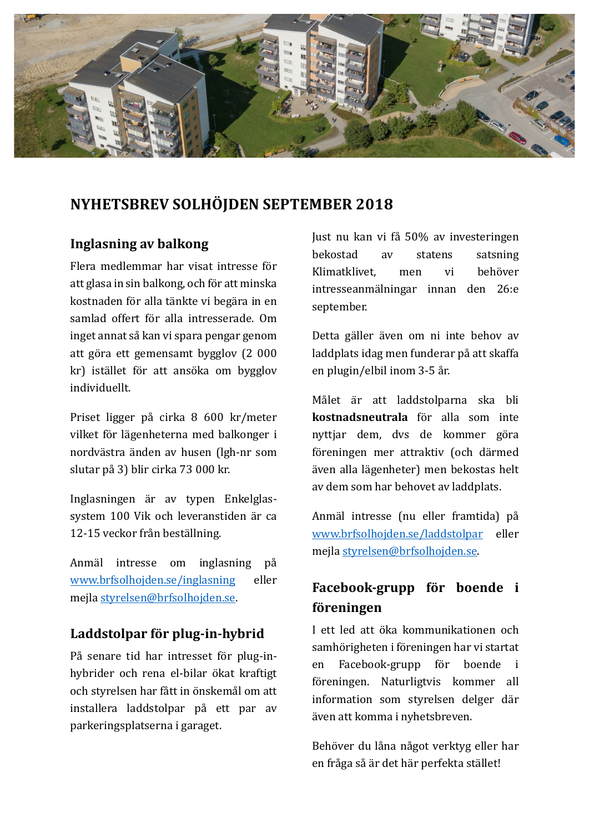

# **NYHETSBREV SOLHÖJDEN SEPTEMBER 2018**

### **Inglasning av balkong**

Flera medlemmar har visat intresse för att glasa in sin balkong, och för att minska kostnaden för alla tänkte vi begära in en samlad offert för alla intresserade. Om inget annat så kan vi spara pengar genom att göra ett gemensamt bygglov (2000 kr) istället för att ansöka om bygglov individuellt.

Priset ligger på cirka 8 600 kr/meter vilket för lägenheterna med balkonger i nordvästra änden av husen (lgh-nr som slutar på 3) blir cirka 73 000 kr.

Inglasningen är av typen Enkelglassystem 100 Vik och leveranstiden är ca 12-15 veckor från beställning.

Anmäl intresse om inglasning på www.brfsolhojden.se/inglasning eller mejla styrelsen@brfsolhojden.se.

# **Laddstolpar för plug-in-hybrid**

På senare tid har intresset för plug-inhybrider och rena el-bilar ökat kraftigt och styrelsen har fått in önskemål om att installera laddstolpar på ett par av parkeringsplatserna i garaget.

Just nu kan vi få 50% av investeringen bekostad av statens satsning Klimatklivet, men vi behöver intresseanmälningar innan den 26:e september.

Detta gäller även om ni inte behov av laddplats idag men funderar på att skaffa en plugin/elbil inom 3-5 år.

Målet är att laddstolparna ska bli **kostnadsneutrala** för alla som inte nyttiar dem, dys de kommer göra föreningen mer attraktiv (och därmed även alla lägenheter) men bekostas helt av dem som har behovet av laddplats.

Anmäl intresse (nu eller framtida) på www.brfsolhojden.se/laddstolpar eller mejla styrelsen@brfsolhojden.se.

# **Facebook-grupp för boende i föreningen**

I ett led att ö ka kommunikationen och samhörigheten i föreningen har vi startat en Facebook-grupp för boende i fö reningen. Naturligtvis kommer all information som styrelsen delger där även att komma i nyhetsbreven.

Behöver du låna något verktyg eller har en fråga så är det här perfekta stället!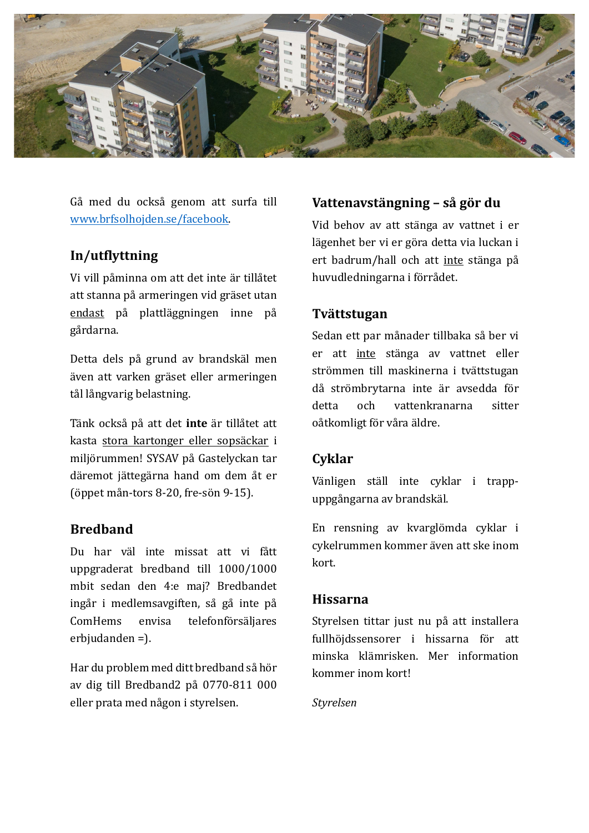

Gå med du också genom att surfa till www.brfsolhojden.se/facebook.

# **In/utflyttning**

Vi vill påminna om att det inte är tillåtet att stanna på armeringen vid gräset utan endast på plattläggningen inne på gå rdarna.

Detta dels på grund av brandskäl men även att varken gräset eller armeringen tål långvarig belastning.

Tänk också på att det inte är tillåtet att kasta stora kartonger eller sopsäckar i miljörummen! SYSAV på Gastelyckan tar däremot jättegärna hand om dem åt er (öppet mån-tors  $8-20$ , fre-sön  $9-15$ ).

### **Bredband**

Du har väl inte missat att vi fått uppgraderat bredband till 1000/1000 mbit sedan den 4:e maj? Bredbandet ingår i medlemsavgiften, så gå inte på ComHems envisa telefonförsäljares  $erb$ judanden = $).$ 

Har du problem med ditt bredband så hör av dig till Bredband2 på 0770-811 000 eller prata med någon i styrelsen.

#### **Vattenavstängning – så gör du**

Vid behov av att stänga av vattnet i er lägenhet ber vi er göra detta via luckan i ert badrum/hall och att inte stänga på huvudledningarna i förrådet.

#### **Tvättstugan**

Sedan ett par månader tillbaka så ber vi er att inte stänga av vattnet eller strömmen till maskinerna i tvättstugan då strömbrytarna inte är avsedda för detta och vattenkranarna sitter oåtkomligt för våra äldre.

#### **Cyklar**

Vänligen ställ inte cyklar i trappuppgångarna av brandskäl. 

En rensning av kvarglömda cyklar i cykelrummen kommer även att ske inom kort.

#### **Hissarna**

Styrelsen tittar just nu på att installera fullhöjdssensorer i hissarna för att minska klämrisken. Mer information kommer inom kort!

#### *Styrelsen*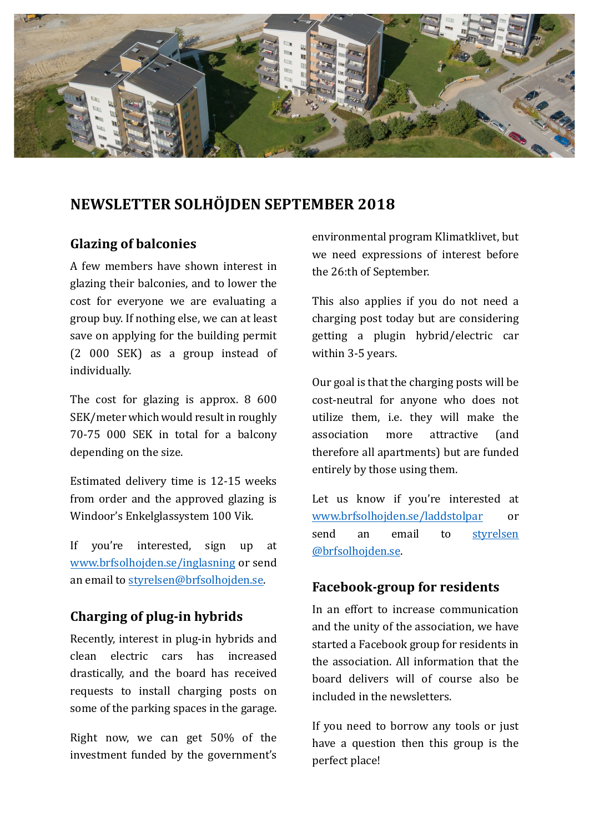

# **NEWSLETTER SOLHÖJDEN SEPTEMBER 2018**

# **Glazing of balconies**

A few members have shown interest in glazing their balconies, and to lower the cost for everyone we are evaluating a group buy. If nothing else, we can at least save on applying for the building permit (2 000 SEK) as a group instead of individually. 

The cost for glazing is approx.  $8\,600$ SEK/meter which would result in roughly 70-75 000 SEK in total for a balcony depending on the size.

Estimated delivery time is 12-15 weeks from order and the approved glazing is Windoor's Enkelglassystem 100 Vik.

If you're interested, sign up at www.brfsolhojden.se/inglasning or send an email to styrelsen@brfsolhojden.se.

# **Charging of plug-in hybrids**

Recently, interest in plug-in hybrids and clean electric cars has increased drastically, and the board has received requests to install charging posts on some of the parking spaces in the garage.

Right now, we can get  $50\%$  of the investment funded by the government's environmental program Klimatklivet, but we need expressions of interest before the 26:th of September.

This also applies if you do not need a charging post today but are considering getting a plugin hybrid/electric car within 3-5 years.

Our goal is that the charging posts will be cost-neutral for anyone who does not utilize them, i.e. they will make the association more attractive (and therefore all apartments) but are funded entirely by those using them.

Let us know if you're interested at www.brfsolhojden.se/laddstolpar or send an email to styrelsen @brfsolhojden.se.

# **Facebook-group for residents**

In an effort to increase communication and the unity of the association, we have started a Facebook group for residents in the association. All information that the board delivers will of course also be included in the newsletters.

If you need to borrow any tools or just have a question then this group is the perfect place!